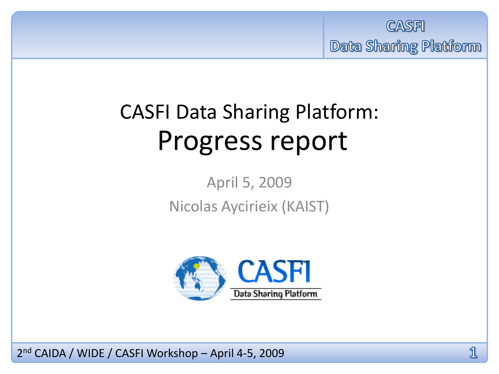

## CASFI Data Sharing Platform: Progress report

April 5, 2009 Nicolas Aycirieix (KAIST)

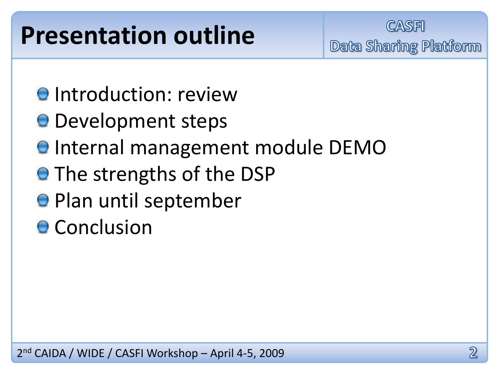## **Presentation outline**

**CASFI Data Sharing Platform** 

- **O** Introduction: review
- **O** Development steps
- **O** Internal management module DEMO
- **The strengths of the DSP**
- Plan until september
- **O** Conclusion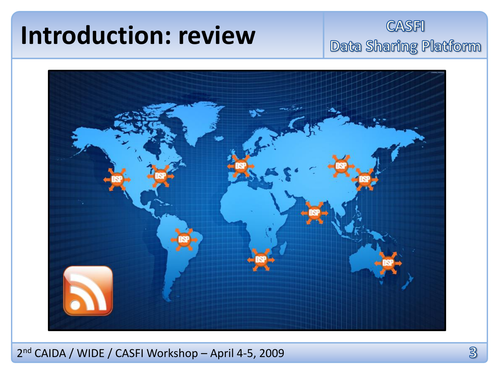## **Introduction: review**

#### **CASFI** Data Sharing Platform

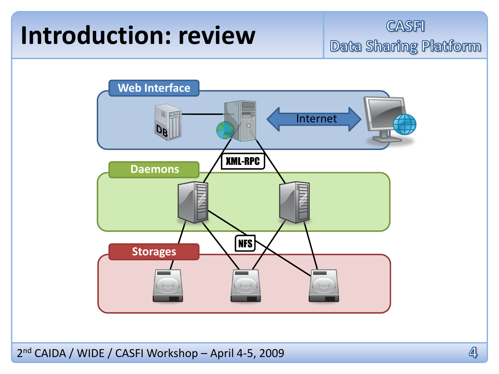## **Introduction: review**

**CASFI Data Sharing Platform** 

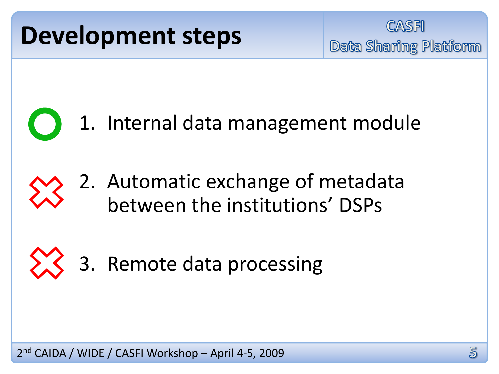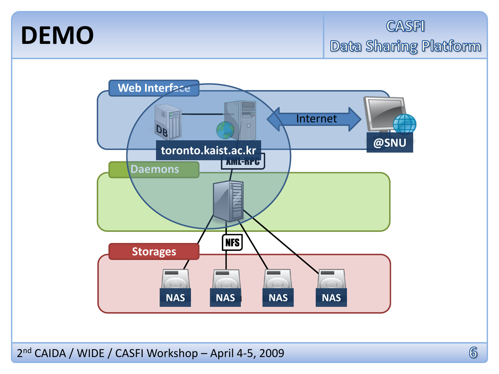### **DEMO**

**CASFI** Data Sharing Platform

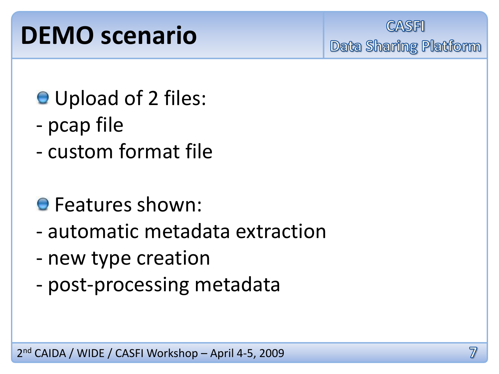## **DEMO scenario**

**CASFI** Data Sharing Platform

- **O** Upload of 2 files:
- pcap file
- custom format file

### **O** Features shown:

- automatic metadata extraction
- new type creation
- post-processing metadata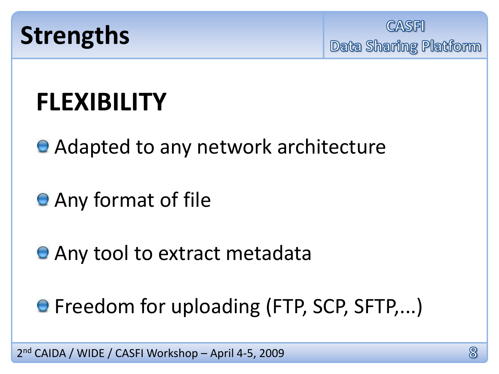

**CASFI Data Sharing Platform** 

## **FLEXIBILITY**

● Adapted to any network architecture

- **Any format of file**
- **Any tool to extract metadata**
- **Freedom for uploading (FTP, SCP, SFTP,...)**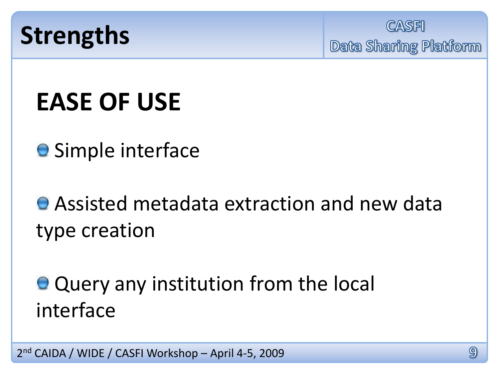

**CASFI Data Sharing Platform** 

## **EASE OF USE**

**O** Simple interface

**• Assisted metadata extraction and new data** type creation

● Query any institution from the local interface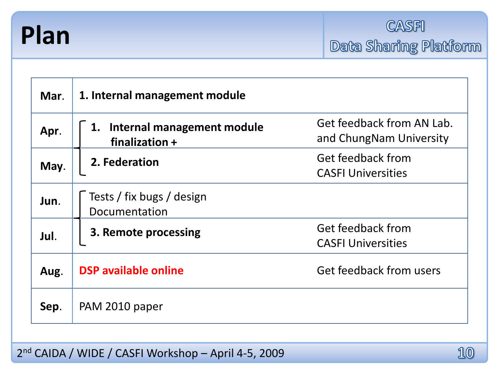

| Mar. | 1. Internal management module                             |                                                      |
|------|-----------------------------------------------------------|------------------------------------------------------|
| Apr. | <b>Internal management module</b><br>1.<br>finalization + | Get feedback from AN Lab.<br>and ChungNam University |
| May. | 2. Federation                                             | Get feedback from<br><b>CASFI Universities</b>       |
| Jun. | Tests / fix bugs / design<br>Documentation                |                                                      |
| Jul. | 3. Remote processing                                      | Get feedback from<br><b>CASFI Universities</b>       |
| Aug. | <b>DSP</b> available online                               | Get feedback from users                              |
| Sep. | PAM 2010 paper                                            |                                                      |

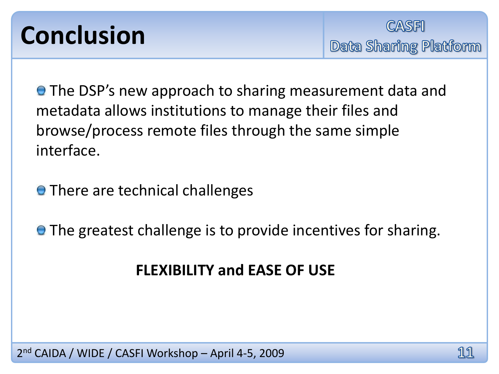## **Conclusion**

**• The DSP's new approach to sharing measurement data and** metadata allows institutions to manage their files and browse/process remote files through the same simple interface.

**•** There are technical challenges

**• The greatest challenge is to provide incentives for sharing.** 

#### **FLEXIBILITY and EASE OF USE**